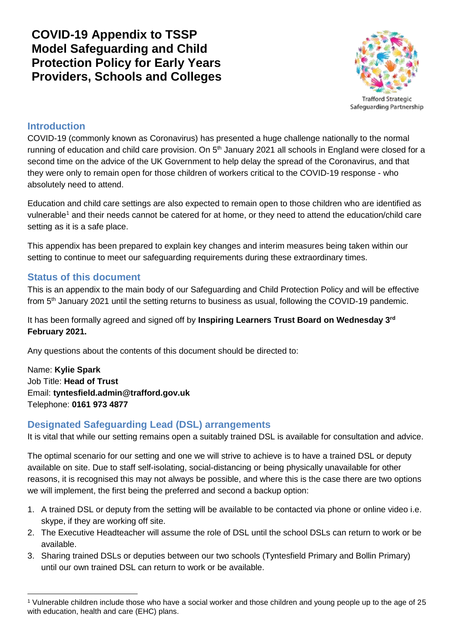**COVID-19 Appendix to TSSP Model Safeguarding and Child Protection Policy for Early Years Providers, Schools and Colleges**



Safeguarding Partnership

#### **Introduction**

COVID-19 (commonly known as Coronavirus) has presented a huge challenge nationally to the normal running of education and child care provision. On 5<sup>th</sup> January 2021 all schools in England were closed for a second time on the advice of the UK Government to help delay the spread of the Coronavirus, and that they were only to remain open for those children of workers critical to the COVID-19 response - who absolutely need to attend.

Education and child care settings are also expected to remain open to those children who are identified as vulnerable<sup>1</sup> and their needs cannot be catered for at home, or they need to attend the education/child care setting as it is a safe place.

This appendix has been prepared to explain key changes and interim measures being taken within our setting to continue to meet our safeguarding requirements during these extraordinary times.

#### **Status of this document**

This is an appendix to the main body of our Safeguarding and Child Protection Policy and will be effective from 5th January 2021 until the setting returns to business as usual, following the COVID-19 pandemic.

It has been formally agreed and signed off by **Inspiring Learners Trust Board on Wednesday 3rd February 2021.**

Any questions about the contents of this document should be directed to:

Name: **Kylie Spark** Job Title: **Head of Trust** Email: **tyntesfield.admin@trafford.gov.uk** Telephone: **0161 973 4877**

## **Designated Safeguarding Lead (DSL) arrangements**

It is vital that while our setting remains open a suitably trained DSL is available for consultation and advice.

The optimal scenario for our setting and one we will strive to achieve is to have a trained DSL or deputy available on site. Due to staff self-isolating, social-distancing or being physically unavailable for other reasons, it is recognised this may not always be possible, and where this is the case there are two options we will implement, the first being the preferred and second a backup option:

- 1. A trained DSL or deputy from the setting will be available to be contacted via phone or online video i.e. skype, if they are working off site.
- 2. The Executive Headteacher will assume the role of DSL until the school DSLs can return to work or be available.
- 3. Sharing trained DSLs or deputies between our two schools (Tyntesfield Primary and Bollin Primary) until our own trained DSL can return to work or be available.

<sup>1</sup> <sup>1</sup> Vulnerable children include those who have a social worker and those children and young people up to the age of 25 with education, health and care (EHC) plans.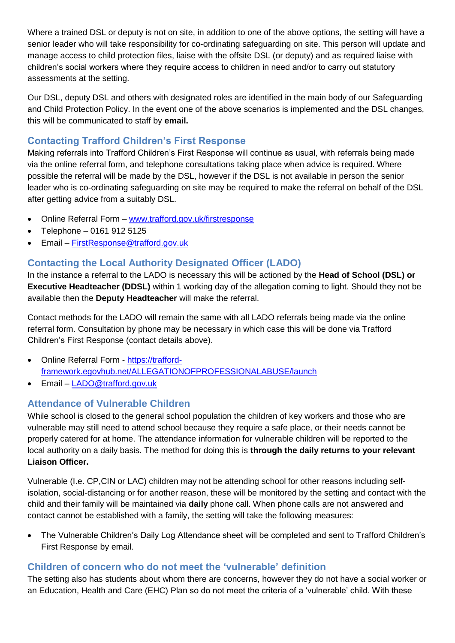Where a trained DSL or deputy is not on site, in addition to one of the above options, the setting will have a senior leader who will take responsibility for co-ordinating safeguarding on site. This person will update and manage access to child protection files, liaise with the offsite DSL (or deputy) and as required liaise with children's social workers where they require access to children in need and/or to carry out statutory assessments at the setting.

Our DSL, deputy DSL and others with designated roles are identified in the main body of our Safeguarding and Child Protection Policy. In the event one of the above scenarios is implemented and the DSL changes, this will be communicated to staff by **email.**

## **Contacting Trafford Children's First Response**

Making referrals into Trafford Children's First Response will continue as usual, with referrals being made via the online referral form, and telephone consultations taking place when advice is required. Where possible the referral will be made by the DSL, however if the DSL is not available in person the senior leader who is co-ordinating safeguarding on site may be required to make the referral on behalf of the DSL after getting advice from a suitably DSL.

- Online Referral Form [www.trafford.gov.uk/firstresponse](http://www.trafford.gov.uk/firstresponse)
- Telephone 0161 912 5125
- Email [FirstResponse@trafford.gov.uk](mailto:FirstResponse@trafford.gov.uk)

## **Contacting the Local Authority Designated Officer (LADO)**

In the instance a referral to the LADO is necessary this will be actioned by the **Head of School (DSL) or Executive Headteacher (DDSL)** within 1 working day of the allegation coming to light. Should they not be available then the **Deputy Headteacher** will make the referral.

Contact methods for the LADO will remain the same with all LADO referrals being made via the online referral form. Consultation by phone may be necessary in which case this will be done via Trafford Children's First Response (contact details above).

- Online Referral Form [https://trafford](https://trafford-framework.egovhub.net/ALLEGATIONOFPROFESSIONALABUSE/launch)[framework.egovhub.net/ALLEGATIONOFPROFESSIONALABUSE/launch](https://trafford-framework.egovhub.net/ALLEGATIONOFPROFESSIONALABUSE/launch)
- Email [LADO@trafford.gov.uk](mailto:LADO@trafford.gov.uk)

## **Attendance of Vulnerable Children**

While school is closed to the general school population the children of key workers and those who are vulnerable may still need to attend school because they require a safe place, or their needs cannot be properly catered for at home. The attendance information for vulnerable children will be reported to the local authority on a daily basis. The method for doing this is **through the daily returns to your relevant Liaison Officer.**

Vulnerable (I.e. CP,CIN or LAC) children may not be attending school for other reasons including selfisolation, social-distancing or for another reason, these will be monitored by the setting and contact with the child and their family will be maintained via **daily** phone call. When phone calls are not answered and contact cannot be established with a family, the setting will take the following measures:

 The Vulnerable Children's Daily Log Attendance sheet will be completed and sent to Trafford Children's First Response by email.

## **Children of concern who do not meet the 'vulnerable' definition**

The setting also has students about whom there are concerns, however they do not have a social worker or an Education, Health and Care (EHC) Plan so do not meet the criteria of a 'vulnerable' child. With these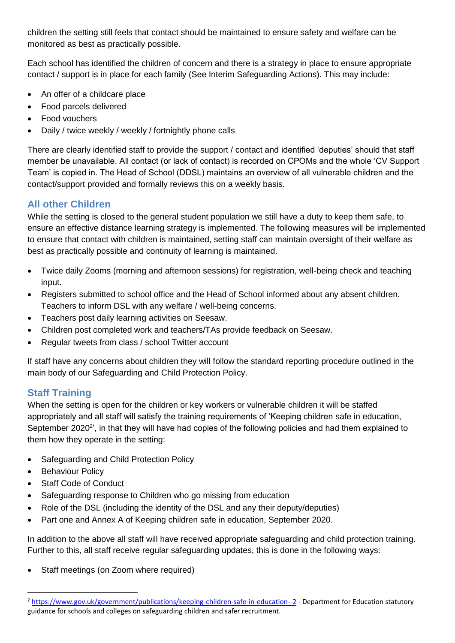children the setting still feels that contact should be maintained to ensure safety and welfare can be monitored as best as practically possible.

Each school has identified the children of concern and there is a strategy in place to ensure appropriate contact / support is in place for each family (See Interim Safeguarding Actions). This may include:

- An offer of a childcare place
- Food parcels delivered
- Food vouchers
- Daily / twice weekly / weekly / fortnightly phone calls

There are clearly identified staff to provide the support / contact and identified 'deputies' should that staff member be unavailable. All contact (or lack of contact) is recorded on CPOMs and the whole 'CV Support Team' is copied in. The Head of School (DDSL) maintains an overview of all vulnerable children and the contact/support provided and formally reviews this on a weekly basis.

# **All other Children**

While the setting is closed to the general student population we still have a duty to keep them safe, to ensure an effective distance learning strategy is implemented. The following measures will be implemented to ensure that contact with children is maintained, setting staff can maintain oversight of their welfare as best as practically possible and continuity of learning is maintained.

- Twice daily Zooms (morning and afternoon sessions) for registration, well-being check and teaching input.
- Registers submitted to school office and the Head of School informed about any absent children. Teachers to inform DSL with any welfare / well-being concerns.
- Teachers post daily learning activities on Seesaw.
- Children post completed work and teachers/TAs provide feedback on Seesaw.
- Regular tweets from class / school Twitter account

If staff have any concerns about children they will follow the standard reporting procedure outlined in the main body of our Safeguarding and Child Protection Policy.

# **Staff Training**

When the setting is open for the children or key workers or vulnerable children it will be staffed appropriately and all staff will satisfy the training requirements of 'Keeping children safe in education, September 2020<sup>2</sup>', in that they will have had copies of the following policies and had them explained to them how they operate in the setting:

- Safeguarding and Child Protection Policy
- Behaviour Policy

 $\overline{\phantom{a}}$ 

- Staff Code of Conduct
- Safeguarding response to Children who go missing from education
- Role of the DSL (including the identity of the DSL and any their deputy/deputies)
- Part one and Annex A of Keeping children safe in education, September 2020.

In addition to the above all staff will have received appropriate safeguarding and child protection training. Further to this, all staff receive regular safeguarding updates, this is done in the following ways:

• Staff meetings (on Zoom where required)

<sup>&</sup>lt;sup>2</sup> <https://www.gov.uk/government/publications/keeping-children-safe-in-education--2> - Department for Education statutory guidance for schools and colleges on safeguarding children and safer recruitment.